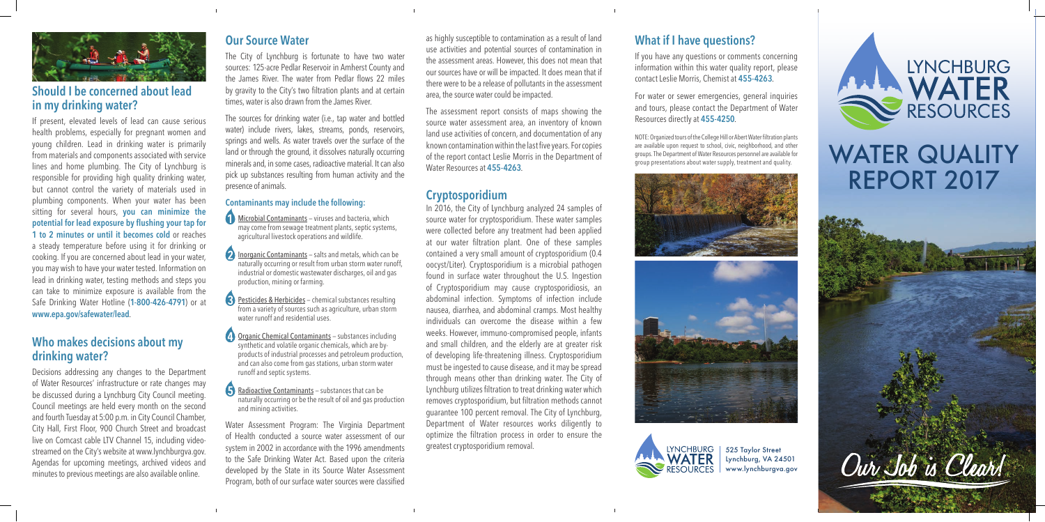

### **Should I be concerned about lead in my drinking water?**

If present, elevated levels of lead can cause serious health problems, especially for pregnant women and young children. Lead in drinking water is primarily from materials and components associated with service lines and home plumbing. The City of Lynchburg is responsible for providing high quality drinking water, but cannot control the variety of materials used in plumbing components. When your water has been sitting for several hours, **you can minimize the potential for lead exposure by flushing your tap for 1 to 2 minutes or until it becomes cold** or reaches a steady temperature before using it for drinking or cooking. If you are concerned about lead in your water, you may wish to have your water tested. Information on lead in drinking water, testing methods and steps you can take to minimize exposure is available from the Safe Drinking Water Hotline (**1-800-426-4791**) or at **www.epa.gov/safewater/lead**.

#### **Who makes decisions about my drinking water?**

**Microbial Contaminants** – viruses and bacteria, which may come from sewage treatment plants, septic systems, agricultural livestock operations and wildlife.

Decisions addressing any changes to the Department of Water Resources' infrastructure or rate changes may be discussed during a Lynchburg City Council meeting. Council meetings are held every month on the second and fourth Tuesday at 5:00 p.m. in City Council Chamber, City Hall, First Floor, 900 Church Street and broadcast live on Comcast cable LTV Channel 15, including videostreamed on the City's website at www.lynchburgva.gov. Agendas for upcoming meetings, archived videos and minutes to previous meetings are also available online.

- **2** Inorganic Contaminants salts and metals, which can be naturally occurring or result from urban storm water runoff, industrial or domestic wastewater discharges, oil and gas production, mining or farming.
- Pesticides & Herbicides chemical substances resulting from a variety of sources such as agriculture, urban storm water runoff and residential uses.

**4** Organic Chemical Contaminants – substances including synthetic and volatile organic chemicals, which are byproducts of industrial processes and petroleum production, and can also come from gas stations, urban storm water runoff and septic systems.

#### **Our Source Water**

Radioactive Contaminants – substances that can be naturally occurring or be the result of oil and gas production and mining activities.

The City of Lynchburg is fortunate to have two water sources: 125-acre Pedlar Reservoir in Amherst County and the James River. The water from Pedlar flows 22 miles by gravity to the City's two filtration plants and at certain times, water is also drawn from the James River.

The sources for drinking water (i.e., tap water and bottled water) include rivers, lakes, streams, ponds, reservoirs, springs and wells. As water travels over the surface of the land or through the ground, it dissolves naturally occurring minerals and, in some cases, radioactive material. It can also pick up substances resulting from human activity and the presence of animals.

> In 2016, the City of Lynchburg analyzed 24 samples of source water for cryptosporidium. These water samples were collected before any treatment had been applied at our water filtration plant. One of these samples contained a very small amount of cryptosporidium (0.4 oocyst/Liter). Cryptosporidium is a microbial pathogen found in surface water throughout the U.S. Ingestion of Cryptosporidium may cause cryptosporidiosis, an abdominal infection. Symptoms of infection include nausea, diarrhea, and abdominal cramps. Most healthy individuals can overcome the disease within a few weeks. However, immuno-compromised people, infants and small children, and the elderly are at greater risk of developing life-threatening illness. Cryptosporidium must be ingested to cause disease, and it may be spread through means other than drinking water. The City of Lynchburg utilizes filtration to treat drinking water which removes cryptosporidium, but filtration methods cannot guarantee 100 percent removal. The City of Lynchburg, Department of Water resources works diligently to optimize the filtration process in order to ensure the greatest cryptosporidium removal. The state of the state of the state of the street of the street of the street

#### **Contaminants may include the following:**

# are available upon request to school, civic, neighborhood, and other<br>group presentations about water Resources personnel are available for **WATER QUALITY** REPORT 2017



Water Assessment Program: The Virginia Department of Health conducted a source water assessment of our system in 2002 in accordance with the 1996 amendments to the Safe Drinking Water Act. Based upon the criteria developed by the State in its Source Water Assessment Program, both of our surface water sources were classified

as highly susceptible to contamination as a result of land use activities and potential sources of contamination in the assessment areas. However, this does not mean that our sources have or will be impacted. It does mean that if there were to be a release of pollutants in the assessment area, the source water could be impacted.

The assessment report consists of maps showing the source water assessment area, an inventory of known land use activities of concern, and documentation of any known contamination within the last five years. For copies of the report contact Leslie Morris in the Department of Water Resources at **455-4263**.

#### **Cryptosporidium**

Lynchburg, VA 24501 www.lynchburgva.gov



## **What if I have questions?**

If you have any questions or comments concerning information within this water quality report, please contact Leslie Morris, Chemist at **455-4263**.

For water or sewer emergencies, general inquiries and tours, please contact the Department of Water Resources directly at **455-4250**.

NOTE: Organized tours of the College Hill or Abert Water filtration plants are available upon request to school, civic, neighborhood, and other groups. The Department of Water Resources personnel are available for